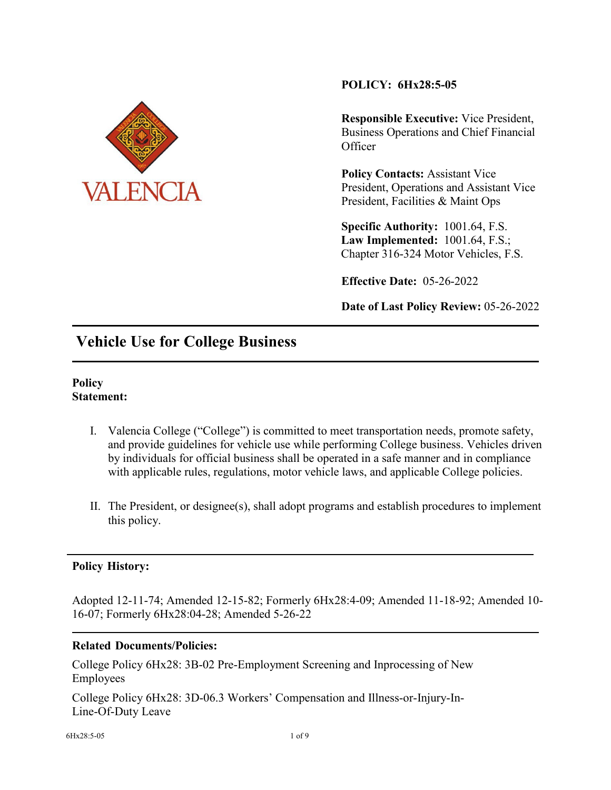

**POLICY: 6Hx28:5-05**

**Responsible Executive:** Vice President, Business Operations and Chief Financial **Officer** 

**Policy Contacts:** Assistant Vice President, Operations and Assistant Vice President, Facilities & Maint Ops

**Specific Authority:** 1001.64, F.S. **Law Implemented:** 1001.64, F.S.; Chapter 316-324 Motor Vehicles, F.S.

**Effective Date:** 05-26-2022

**Date of Last Policy Review:** 05-26-2022

## **Vehicle Use for College Business**

#### **Policy Statement:**

- I. Valencia College ("College") is committed to meet transportation needs, promote safety, and provide guidelines for vehicle use while performing College business. Vehicles driven by individuals for official business shall be operated in a safe manner and in compliance with applicable rules, regulations, motor vehicle laws, and applicable College policies.
- II. The President, or designee(s), shall adopt programs and establish procedures to implement this policy.

### **Policy History:**

Adopted 12-11-74; Amended 12-15-82; Formerly 6Hx28:4-09; Amended 11-18-92; Amended 10- 16-07; Formerly 6Hx28:04-28; Amended 5-26-22

### **Related Documents/Policies:**

College Policy 6Hx28: 3B-02 Pre-Employment Screening and Inprocessing of New Employees

College Policy 6Hx28: 3D-06.3 Workers' Compensation and Illness-or-Injury-In-Line-Of-Duty Leave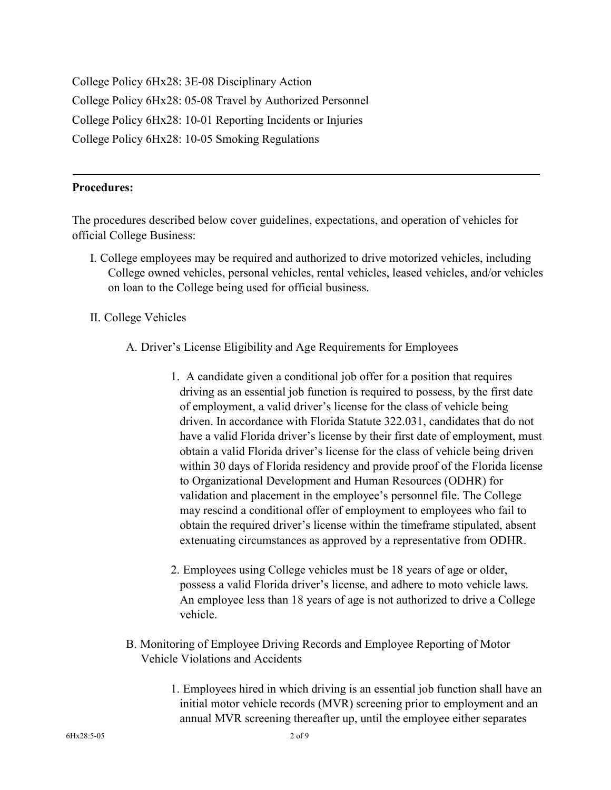College Policy 6Hx28: 3E-08 Disciplinary Action College Policy 6Hx28: 05-08 Travel by Authorized Personnel College Policy 6Hx28: 10-01 Reporting Incidents or Injuries College Policy 6Hx28: 10-05 Smoking Regulations

#### **Procedures:**

The procedures described below cover guidelines, expectations, and operation of vehicles for official College Business:

- I. College employees may be required and authorized to drive motorized vehicles, including College owned vehicles, personal vehicles, rental vehicles, leased vehicles, and/or vehicles on loan to the College being used for official business.
- II. College Vehicles
	- A. Driver's License Eligibility and Age Requirements for Employees
		- 1. A candidate given a conditional job offer for a position that requires driving as an essential job function is required to possess, by the first date of employment, a valid driver's license for the class of vehicle being driven. In accordance with Florida Statute 322.031, candidates that do not have a valid Florida driver's license by their first date of employment, must obtain a valid Florida driver's license for the class of vehicle being driven within 30 days of Florida residency and provide proof of the Florida license to Organizational Development and Human Resources (ODHR) for validation and placement in the employee's personnel file. The College may rescind a conditional offer of employment to employees who fail to obtain the required driver's license within the timeframe stipulated, absent extenuating circumstances as approved by a representative from ODHR.
		- 2. Employees using College vehicles must be 18 years of age or older, possess a valid Florida driver's license, and adhere to moto vehicle laws. An employee less than 18 years of age is not authorized to drive a College vehicle.
	- B. Monitoring of Employee Driving Records and Employee Reporting of Motor Vehicle Violations and Accidents
		- 1. Employees hired in which driving is an essential job function shall have an initial motor vehicle records (MVR) screening prior to employment and an annual MVR screening thereafter up, until the employee either separates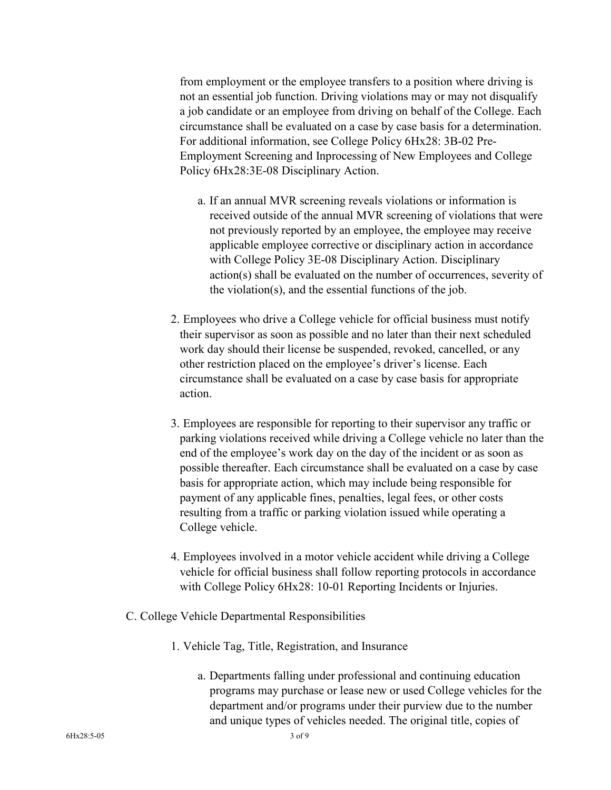from employment or the employee transfers to a position where driving is not an essential job function. Driving violations may or may not disqualify a job candidate or an employee from driving on behalf of the College. Each circumstance shall be evaluated on a case by case basis for a determination. For additional information, see College Policy 6Hx28: 3B-02 Pre-Employment Screening and Inprocessing of New Employees and College Policy 6Hx28:3E-08 Disciplinary Action.

- a. If an annual MVR screening reveals violations or information is received outside of the annual MVR screening of violations that were not previously reported by an employee, the employee may receive applicable employee corrective or disciplinary action in accordance with College Policy 3E-08 Disciplinary Action. Disciplinary action(s) shall be evaluated on the number of occurrences, severity of the violation(s), and the essential functions of the job.
- 2. Employees who drive a College vehicle for official business must notify their supervisor as soon as possible and no later than their next scheduled work day should their license be suspended, revoked, cancelled, or any other restriction placed on the employee's driver's license. Each circumstance shall be evaluated on a case by case basis for appropriate action.
- 3. Employees are responsible for reporting to their supervisor any traffic or parking violations received while driving a College vehicle no later than the end of the employee's work day on the day of the incident or as soon as possible thereafter. Each circumstance shall be evaluated on a case by case basis for appropriate action, which may include being responsible for payment of any applicable fines, penalties, legal fees, or other costs resulting from a traffic or parking violation issued while operating a College vehicle.
- 4. Employees involved in a motor vehicle accident while driving a College vehicle for official business shall follow reporting protocols in accordance with College Policy 6Hx28: 10-01 Reporting Incidents or Injuries.
- C. College Vehicle Departmental Responsibilities
	- 1. Vehicle Tag, Title, Registration, and Insurance
		- a. Departments falling under professional and continuing education programs may purchase or lease new or used College vehicles for the department and/or programs under their purview due to the number and unique types of vehicles needed. The original title, copies of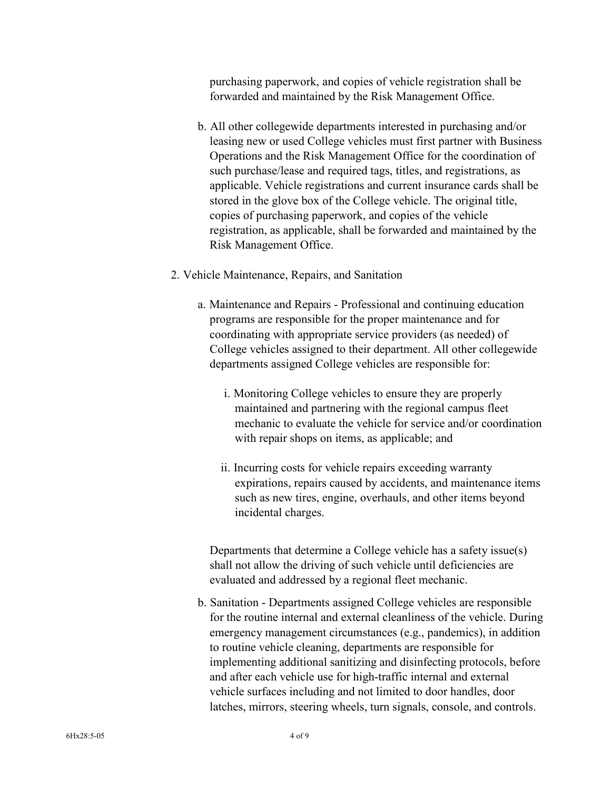purchasing paperwork, and copies of vehicle registration shall be forwarded and maintained by the Risk Management Office.

- b. All other collegewide departments interested in purchasing and/or leasing new or used College vehicles must first partner with Business Operations and the Risk Management Office for the coordination of such purchase/lease and required tags, titles, and registrations, as applicable. Vehicle registrations and current insurance cards shall be stored in the glove box of the College vehicle. The original title, copies of purchasing paperwork, and copies of the vehicle registration, as applicable, shall be forwarded and maintained by the Risk Management Office.
- 2. Vehicle Maintenance, Repairs, and Sanitation
	- a. Maintenance and Repairs Professional and continuing education programs are responsible for the proper maintenance and for coordinating with appropriate service providers (as needed) of College vehicles assigned to their department. All other collegewide departments assigned College vehicles are responsible for:
		- i. Monitoring College vehicles to ensure they are properly maintained and partnering with the regional campus fleet mechanic to evaluate the vehicle for service and/or coordination with repair shops on items, as applicable; and
		- ii. Incurring costs for vehicle repairs exceeding warranty expirations, repairs caused by accidents, and maintenance items such as new tires, engine, overhauls, and other items beyond incidental charges.

Departments that determine a College vehicle has a safety issue(s) shall not allow the driving of such vehicle until deficiencies are evaluated and addressed by a regional fleet mechanic.

b. Sanitation - Departments assigned College vehicles are responsible for the routine internal and external cleanliness of the vehicle. During emergency management circumstances (e.g., pandemics), in addition to routine vehicle cleaning, departments are responsible for implementing additional sanitizing and disinfecting protocols, before and after each vehicle use for high-traffic internal and external vehicle surfaces including and not limited to door handles, door latches, mirrors, steering wheels, turn signals, console, and controls.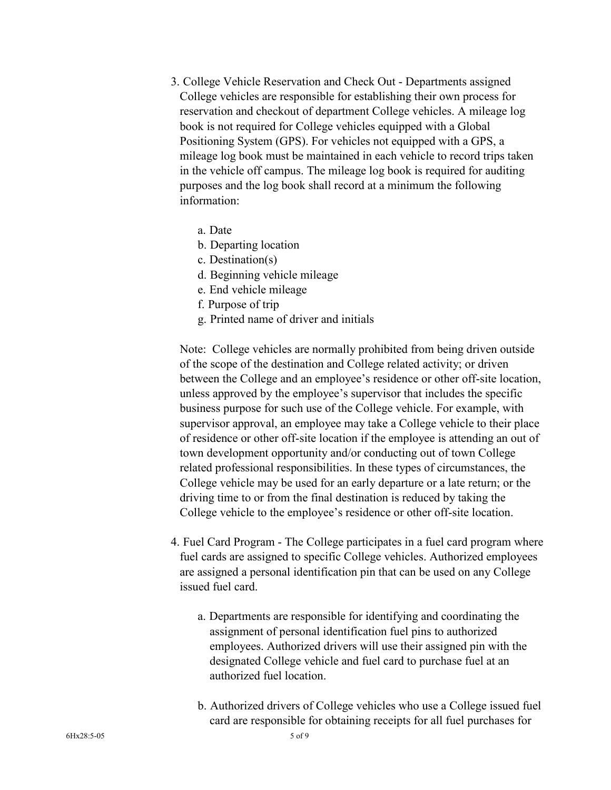- 3. College Vehicle Reservation and Check Out Departments assigned College vehicles are responsible for establishing their own process for reservation and checkout of department College vehicles. A mileage log book is not required for College vehicles equipped with a Global Positioning System (GPS). For vehicles not equipped with a GPS, a mileage log book must be maintained in each vehicle to record trips taken in the vehicle off campus. The mileage log book is required for auditing purposes and the log book shall record at a minimum the following information:
	- a. Date
	- b. Departing location
	- c. Destination(s)
	- d. Beginning vehicle mileage
	- e. End vehicle mileage
	- f. Purpose of trip
	- g. Printed name of driver and initials

Note: College vehicles are normally prohibited from being driven outside of the scope of the destination and College related activity; or driven between the College and an employee's residence or other off-site location, unless approved by the employee's supervisor that includes the specific business purpose for such use of the College vehicle. For example, with supervisor approval, an employee may take a College vehicle to their place of residence or other off-site location if the employee is attending an out of town development opportunity and/or conducting out of town College related professional responsibilities. In these types of circumstances, the College vehicle may be used for an early departure or a late return; or the driving time to or from the final destination is reduced by taking the College vehicle to the employee's residence or other off-site location.

- 4. Fuel Card Program The College participates in a fuel card program where fuel cards are assigned to specific College vehicles. Authorized employees are assigned a personal identification pin that can be used on any College issued fuel card.
	- a. Departments are responsible for identifying and coordinating the assignment of personal identification fuel pins to authorized employees. Authorized drivers will use their assigned pin with the designated College vehicle and fuel card to purchase fuel at an authorized fuel location.
	- b. Authorized drivers of College vehicles who use a College issued fuel card are responsible for obtaining receipts for all fuel purchases for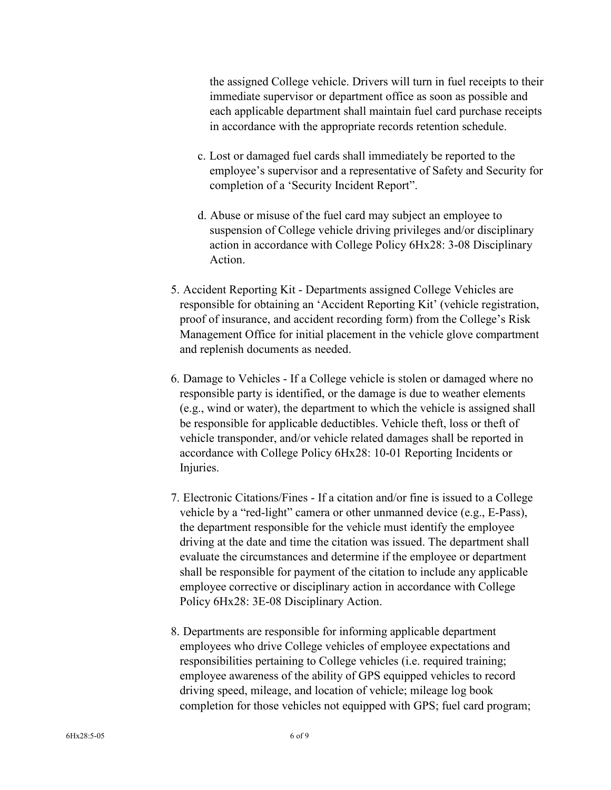the assigned College vehicle. Drivers will turn in fuel receipts to their immediate supervisor or department office as soon as possible and each applicable department shall maintain fuel card purchase receipts in accordance with the appropriate records retention schedule.

- c. Lost or damaged fuel cards shall immediately be reported to the employee's supervisor and a representative of Safety and Security for completion of a 'Security Incident Report".
- d. Abuse or misuse of the fuel card may subject an employee to suspension of College vehicle driving privileges and/or disciplinary action in accordance with College Policy 6Hx28: 3-08 Disciplinary Action.
- 5. Accident Reporting Kit Departments assigned College Vehicles are responsible for obtaining an 'Accident Reporting Kit' (vehicle registration, proof of insurance, and accident recording form) from the College's Risk Management Office for initial placement in the vehicle glove compartment and replenish documents as needed.
- 6. Damage to Vehicles If a College vehicle is stolen or damaged where no responsible party is identified, or the damage is due to weather elements (e.g., wind or water), the department to which the vehicle is assigned shall be responsible for applicable deductibles. Vehicle theft, loss or theft of vehicle transponder, and/or vehicle related damages shall be reported in accordance with College Policy 6Hx28: 10-01 Reporting Incidents or Injuries.
- 7. Electronic Citations/Fines If a citation and/or fine is issued to a College vehicle by a "red-light" camera or other unmanned device (e.g., E-Pass), the department responsible for the vehicle must identify the employee driving at the date and time the citation was issued. The department shall evaluate the circumstances and determine if the employee or department shall be responsible for payment of the citation to include any applicable employee corrective or disciplinary action in accordance with College Policy 6Hx28: 3E-08 Disciplinary Action.
- 8. Departments are responsible for informing applicable department employees who drive College vehicles of employee expectations and responsibilities pertaining to College vehicles (i.e. required training; employee awareness of the ability of GPS equipped vehicles to record driving speed, mileage, and location of vehicle; mileage log book completion for those vehicles not equipped with GPS; fuel card program;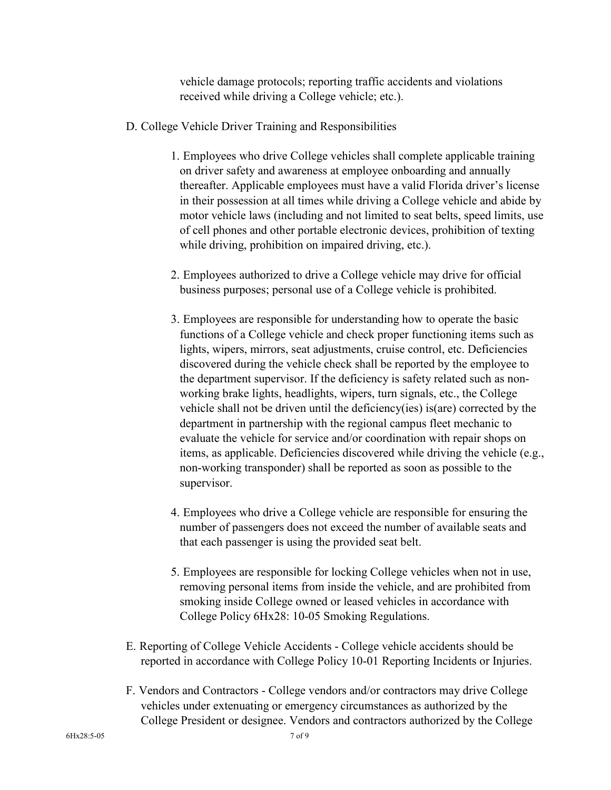vehicle damage protocols; reporting traffic accidents and violations received while driving a College vehicle; etc.).

- D. College Vehicle Driver Training and Responsibilities
	- 1. Employees who drive College vehicles shall complete applicable training on driver safety and awareness at employee onboarding and annually thereafter. Applicable employees must have a valid Florida driver's license in their possession at all times while driving a College vehicle and abide by motor vehicle laws (including and not limited to seat belts, speed limits, use of cell phones and other portable electronic devices, prohibition of texting while driving, prohibition on impaired driving, etc.).
	- 2. Employees authorized to drive a College vehicle may drive for official business purposes; personal use of a College vehicle is prohibited.
	- 3. Employees are responsible for understanding how to operate the basic functions of a College vehicle and check proper functioning items such as lights, wipers, mirrors, seat adjustments, cruise control, etc. Deficiencies discovered during the vehicle check shall be reported by the employee to the department supervisor. If the deficiency is safety related such as nonworking brake lights, headlights, wipers, turn signals, etc., the College vehicle shall not be driven until the deficiency(ies) is(are) corrected by the department in partnership with the regional campus fleet mechanic to evaluate the vehicle for service and/or coordination with repair shops on items, as applicable. Deficiencies discovered while driving the vehicle (e.g., non-working transponder) shall be reported as soon as possible to the supervisor.
	- 4. Employees who drive a College vehicle are responsible for ensuring the number of passengers does not exceed the number of available seats and that each passenger is using the provided seat belt.
	- 5. Employees are responsible for locking College vehicles when not in use, removing personal items from inside the vehicle, and are prohibited from smoking inside College owned or leased vehicles in accordance with College Policy 6Hx28: 10-05 Smoking Regulations.
- E. Reporting of College Vehicle Accidents College vehicle accidents should be reported in accordance with College Policy 10-01 Reporting Incidents or Injuries.
- F. Vendors and Contractors College vendors and/or contractors may drive College vehicles under extenuating or emergency circumstances as authorized by the College President or designee. Vendors and contractors authorized by the College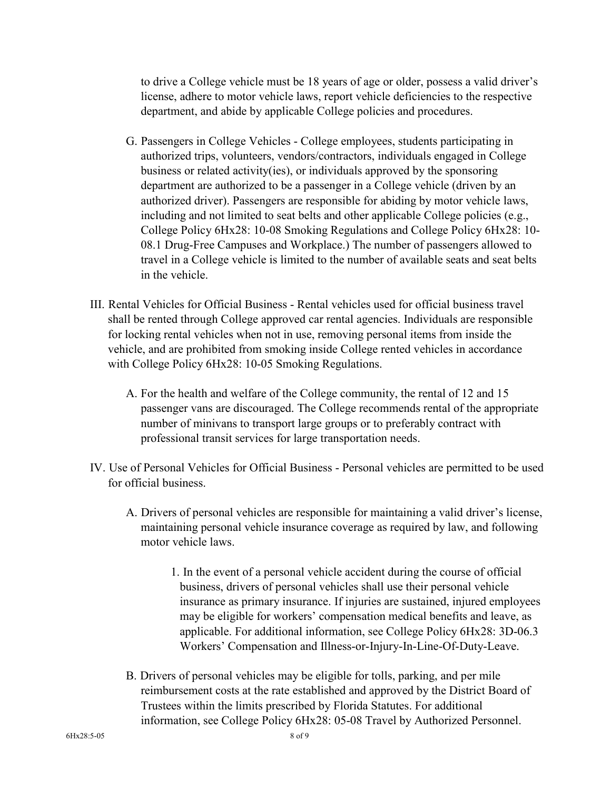to drive a College vehicle must be 18 years of age or older, possess a valid driver's license, adhere to motor vehicle laws, report vehicle deficiencies to the respective department, and abide by applicable College policies and procedures.

- G. Passengers in College Vehicles College employees, students participating in authorized trips, volunteers, vendors/contractors, individuals engaged in College business or related activity(ies), or individuals approved by the sponsoring department are authorized to be a passenger in a College vehicle (driven by an authorized driver). Passengers are responsible for abiding by motor vehicle laws, including and not limited to seat belts and other applicable College policies (e.g., College Policy 6Hx28: 10-08 Smoking Regulations and College Policy 6Hx28: 10- 08.1 Drug-Free Campuses and Workplace.) The number of passengers allowed to travel in a College vehicle is limited to the number of available seats and seat belts in the vehicle.
- III. Rental Vehicles for Official Business Rental vehicles used for official business travel shall be rented through College approved car rental agencies. Individuals are responsible for locking rental vehicles when not in use, removing personal items from inside the vehicle, and are prohibited from smoking inside College rented vehicles in accordance with College Policy 6Hx28: 10-05 Smoking Regulations.
	- A. For the health and welfare of the College community, the rental of 12 and 15 passenger vans are discouraged. The College recommends rental of the appropriate number of minivans to transport large groups or to preferably contract with professional transit services for large transportation needs.
- IV. Use of Personal Vehicles for Official Business Personal vehicles are permitted to be used for official business.
	- A. Drivers of personal vehicles are responsible for maintaining a valid driver's license, maintaining personal vehicle insurance coverage as required by law, and following motor vehicle laws.
		- 1. In the event of a personal vehicle accident during the course of official business, drivers of personal vehicles shall use their personal vehicle insurance as primary insurance. If injuries are sustained, injured employees may be eligible for workers' compensation medical benefits and leave, as applicable. For additional information, see College Policy 6Hx28: 3D-06.3 Workers' Compensation and Illness-or-Injury-In-Line-Of-Duty-Leave.
	- B. Drivers of personal vehicles may be eligible for tolls, parking, and per mile reimbursement costs at the rate established and approved by the District Board of Trustees within the limits prescribed by Florida Statutes. For additional information, see College Policy 6Hx28: 05-08 Travel by Authorized Personnel.